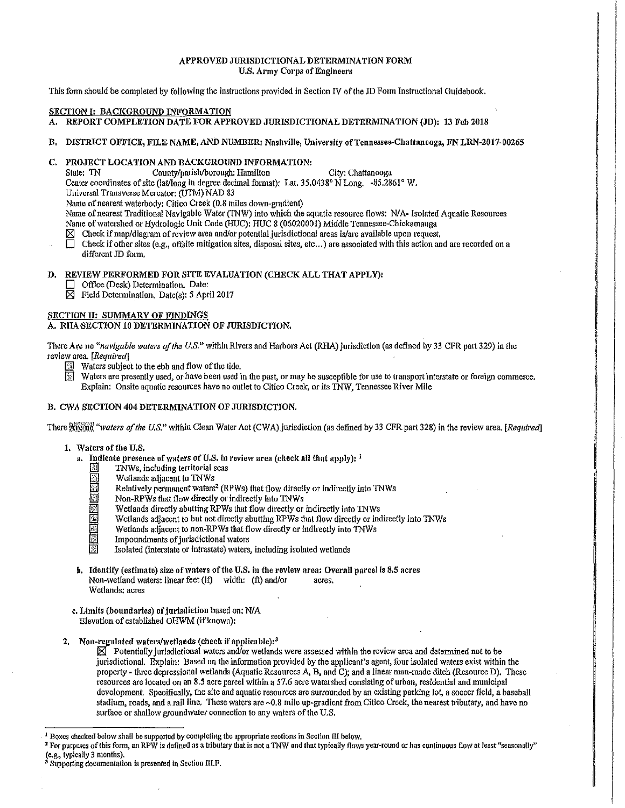## APPROVED JURISDICTIONAL DETERMINATION FORM U.S. Army Corps of Engineers

This form should be completed by following the instructions provided in Section IV of the JD Form Instructional Guidebook.

## SECTION I: BACKGROUND INFORMATION

- A. REPORT COMPLETION DATE FOR APPROVED JURISDICTIONAL DETERMINATION (JD): 13 Feb 2018
- B. DISTRICT OFFICE, FILE NAME, AND NUMBER: Nashville, University of Tennessee-Chattanooga, FNLRN-2017-00265

# C. PROJECT LOCATION AND BACKGROUND INFORMATION:

State: TN County/parish/borough: Hamilton City: Chattanooga

Center coordinates of site (lat/long in degree decimal format): Lat. 35.0438° N Long. -85.2861° W.

Universal Transverse Mercator: (UTM) NAD 83

Name of nearest waterbody: Citico Creek (0.8 miles down-gradient)

Name of nearest Traditional Navigable Water (TNW) into which the aquatic resource flows: N/A- Isolated Aquatic Resources Name of watershed or Hydrologic Unit Code (HUC): HUC 8 (06020001) Middle Tennessee-Chickamauga

 $\boxtimes$  Check if map/diagram of review area and/or potential jurisdictional areas is/are available upon request.

 $\Box$  Check if other sites (e.g., offsite mitigation sites, disposal sites, etc...) are associated with this action and are recorded on a different JD form.

## D. REVIEW PERFORMED FOR SITE EVALUATION (CHECK ALL THAT APPLY):

- Office (Desk) Determination. Date:
- $\boxtimes$  Field Determination. Date(s): 5 April 2017

## SECTION II: SUMMARY OF FINDINGS

A. RHA-SECTION 10 DETERMINATION OF JURISDICTION.

There Are no "*navigable waters of the U.S.*" within Rivers and Harbors Act (RHA) jurisdiction (as defined by 33 CFR part 329) in the review area. *[Required]* 

- **EXECUTE:** Waters subject to the ebb and flow of the tide.
- Waters are presently used, or have been used in the past, or may be susceptible for use to transport interstate or foreign commerce. Explain: Onsite aquatic resources have no outlet to Citico Creek, or *its* 1NW, Tennessee River Mile

## B. CWA SECTION 404 DETERMINATION OF JURISDICTION.

There Attend<sup>'</sup> "waters of the U.S." within Clean Water Act (CWA) jurisdiction (as defined by 33 CFR part 328) in the review area. *[Required]* 

- 1. Waters of the U.S.
	- a. Indicate presence of waters of U.S. in review area (check all that apply):  $<sup>1</sup>$ </sup>
		- TNWs, including territorial seas
		- Wetlands adjacent to TNWs
		- Relatively permanent waters<sup>2</sup> (RPWs) that flow directly or indirectly into TNWs
		-
		- Mon-RPWs that flow directly or indirectly into TNWs<br>
		Wetlands directly abutting RPWs that flow directly or Wetlands directly abutting RPWs that flow directly or indirectly into INWs<br>Wetlands adjacent to but not directly abutting RPWs that flow directly or individuals adjacent to non-RPWs that flow directly or indirectly into IN
			- il Wetlands adjacent to but not directly abutting RPWs that flow directly or indirectly *into* TNWs
		- Wetlands adjacent to non-RPWs that flow directly or indirectly into TNWs<br>Impoundments of jurisdictional waters<br>Isolated (interstate or intrastate) waters, including isolated wetlands
			- Impoundments of jurisdictional waters
			- . Isolated (interstate or intrastate) waters, including isolated \Vetlands
	- b. Identify (estimate) size of waters of the U.S. in the review area: Overall parcel is 8.5 acres Non-wetland waters: linear feet (If) width: (ft) and/or acres. Wetlands; acres
	- c. Limits (boundaries) of jurisdiction based on: N/A Elevation of established OHWM (if known):
- 2. Non-regulated waters/wetlands (check if applicable): $3$

 $\boxtimes$  Potentially jurisdictional waters and/or wetlands were assessed within the review area and determined not to be jurisdictional. Explain: Based on the information provided by the applicant's agent, four isolated waters exist within the property - three depressional wetlands (Aquatic Resources A, B, and C); and a linear man-made ditch (Resource D). These resources are located on an 8.5 acre parcel within a 57.6 acre watershed consisting of urban, residential and municipal development. Specifically, the site and aquatic resources are surrounded by an existing parking lot, a soccer field, a baseball stadium, roads, and a rail line. These waters are ~0.8 mile up-gradient from Citico Creek, the nearest tributary, and have no surface or shallow groundwater connection to any waters of the U.S.

<sup>&</sup>lt;sup>1</sup> Boxes checked below shall be supported by completing the appropriate sections in Section III below.

<sup>&</sup>lt;sup>2</sup> For purposes of this form, an RPW is defined as a tributary that is not a TNW and that typically flows year-round or has continuous flow at least "seasonally"<br>(e.g., typically 3 months).

<sup>&</sup>lt;sup>3</sup> Supporting documentation is presented in Section III.F.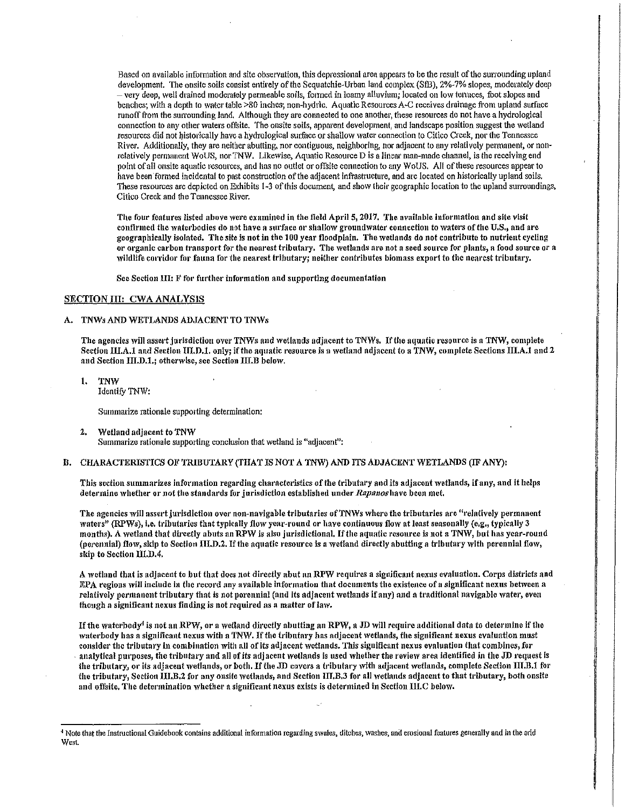Based on available information and site observation, this depressional area appears to be the result of the surrounding upland development. The onsite soils consist entirely of the Sequatchie-Urban land complex (SfB), 2%-7% slopes, moderately deep -very deep, well drained moderately permeable soils, fot'med in loamy alluvium; located on lo\.V terraces, foot slopes and benches; with a depth to water table >80 inches; non-hydric. Aquatic Resources A-C receives drainage from upland surface runoff from the surrounding land. Although they are connected to one another, these resources do not have a hydrological connection to any other waters offsite. The onsite soils, apparent development, and landscape position suggest the wetland resources did not historically have a hydrological surface or shallow water connection to Citico Creek, nor the Tennessee River. Additionally, they are neither abutting, nor contiguous, neighboring, nor adjacent to any relatively permanent, or nonrelatively permanent WoUS, nor TNW. Likewise, Aquatic Resource D is a linear man-made channel, is the receiving end point of all onsite aquatic resources, and has no outlet or offsite connection to any WoUS. All of these resources appear to have been formed incidental to past construction of the adjacent infrastructure, and are located on historically upland soils. These resources are depicted on Exhibits 1-3 of this document, and show their geographic location to the upland surroundings, Citico Creek and the Tennessee River.

The four features listed above were examined in the field April 5, 2017. The available information and site visit confirmed the waterbodies do not have a surface or shallow groundwater connection to waters of the U.S., and are geographically isolated. The site is not in the 100 year floodplain. The wetlands do not contribute to nutrient cycling or organic carbon transport for the nearest tributary. The wetlands are not a seed source for plants, a food source or a wildlife corridor for fauna for the nearest tributary; neither contributes biomass export to the nearest tributary.

See Section III: F for further information and supporting documentation

### SECTION III: CWA ANALYSIS

#### A. TNWs AND WETLANDS ADJACENT TO TNWs

The agencies will assert jurisdiction over TNWs and wetlands adjacent to TNWs. If the aquatic resource is a TNW, complete Section III.A.1 and Section III.D.1. only; if the aquatic resource is a wetland adjacent to a TNW, complete Sections III.A.1 and 2 and Section III.D.1.; otherwise, see Section III.B below.

I. TNW Identify TNW:

Summarize rationale supporting determination:

2. Wetland adjacent to TNW

Summarize rationale supporting conclusion that wetland is "adjacent":

### B. CHARACTERISTICS OF TRIBUTARY (THAT IS NOT A TNW) AND ITS ADJACENT WETLANDS (IF ANY):

This section summarizes information regarding characteristics of the tributary and its adjacent wetlands, if any, and it helps deternine whether or not the standards for jurisdiction established under Rapanos have been met.

The agencies will assert jurisdiction over non-navigable tributaries of TNWs where the tributaries are "relatively permanent waters" (RPWs), i.e. tributaries that typically flow year-round or have continuous flow at least seasonally (e.g., typically 3 months). A wetland that directly abuts an RPW is also jurisdictional. If the aquatic resource is not a TNW, but has year-round (perennial) flow, skip to Section III.D.2. If the aquatic resource is a wetland directly abutting a tributary with perennial flow, skip to Section III.D.4.

A wetland that is adjacent to but that does not directly abut an RPW requires a significant nexus evaluation. Corps districts and EPA regions will include in the record any available information that documents the existence of a significant nexus between a relatively permanent tributary that is not porennial (and its adjacent wetlands if any) and a traditional navigable water, even though a significant nexus finding is not required as a matter of law.

If the waterbody<sup>4</sup> is not an RPW, or a wetland directly abutting an RPW, a JD will require additional data to determine if the waterbody has a significant nexus with a TNW. If the tributary has adjacent wetlands, the significant nexus evaluation must consider the tributary in combination with all of its adjacent 'vetlands. This significant nexus evaluation that combines, for analytical purposes, the tributary and all of its adjacent wetlands is used whether the review area identified in the JD request is the tributary, or its adjacent wetlands, or both. If the JD covers a tributary with adjacent wetlands, complete Section III.B.1 for the tributary, Section III.B.2 for any onsite wetlands, and Section III.B.3 for all wetlands adjacent to that tributary, both onsite and offsite. The determination whether a significant nexus exists is determined in Section III.C below.

<sup>&</sup>lt;sup>4</sup> Note that the Instructional Guidebook contains additional information regarding swales, ditches, washes, and erosional features generally and in the arid West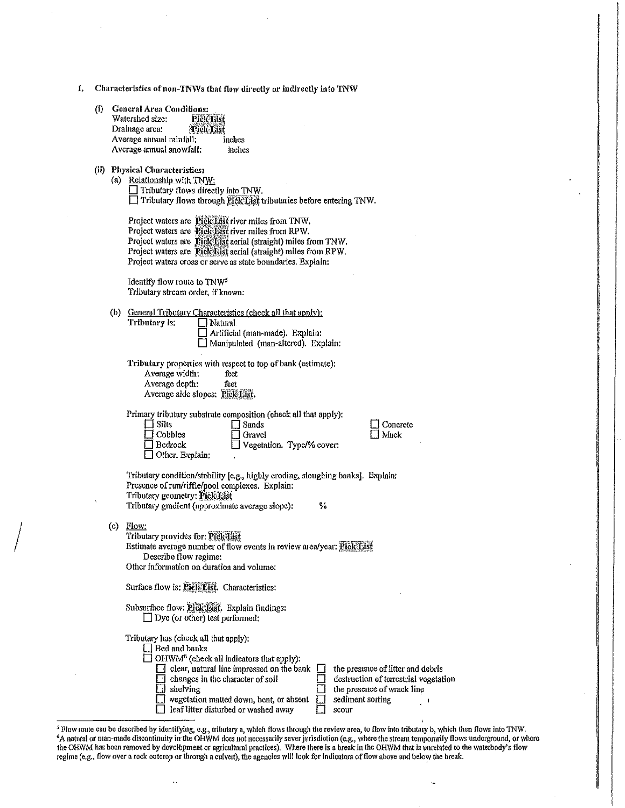- 1. Characteristics of non-TNWs that flow directly or indirectly into TNW
	- (i) General Area Conditions:<br>Watershed size: Pick List Watershed size: Pick Elst<br>Drainage area: Pick Elst Drainage area: <sup>@</sup>Piel@List<br>Average annual rainfall: inches Average annual rainfall: Average annual snowfall: inches
	- (ii) Physical Characteristics:

(a) Relationship with TNW:  $\Box$  Tributary flows directly into TNW. □ Tributaty flows through *Pick* List tributaries before entering TNW.

| Project waters are Pick List river miles from TNW.             |
|----------------------------------------------------------------|
| Project waters are <b>Pick List</b> river miles from RPW.      |
| Project waters are Pick list aerial (straight) miles from TNW. |
| Project waters are Pick List aerial (straight) miles from RPW. |
| Project waters cross or serve as state boundaries. Explain:    |

Identify flow route to TNW' Tributary stream order, if known:

(b) General Tributary Characteristics (check all that apply): Tributary ls: D Natural Artificial (man-made). Explain:

D Manipulated (man-altered). Explain:

Tributary properties with respect to top of bank (estimate): Average width: feet Average depth: feet Average side slopes: Pick List.

Primary tributary substrate composition (check all that apply):  $\Box$  Sands

 $\Box$  Gravel

| l I Silts         |  |
|-------------------|--|
| $\Box$ Cobbles    |  |
| $\Box$ Bedrock    |  |
| □ Other. Explain: |  |

 $\Box$  Concrete  $\Box$  Muck

Tributaty condition/stability [e.g., highly eroding, sloughing banks]. Explain: Presence of run/riffle/pool complexes. Explain: Tributary geometry: Pick List Tributary gradient (approximate average slope): %

 $\Box$  Vegetation. Type/% cover:

(c) Flow:

 $\begin{array}{c} \begin{array}{c} \begin{array}{c} \end{array} \\ \begin{array}{c} \end{array} \end{array} \end{array}$ 

| Tributary provides for: Pick List                                     |  |
|-----------------------------------------------------------------------|--|
| Estimate average number of flow events in review area/year: Fick List |  |
| Describe flow regime:                                                 |  |
| Other information on duration and volume:                             |  |
| Surface flow is: Pick List. Characteristics:                          |  |
| Subsurface flow: Prole List. Explain findings:                        |  |

 $\Box$  Dye (or other) test performed:

| Tributary has (check all that apply):<br>$\Box$ Bed and banks<br>$\Box$ OHWM <sup>6</sup> (check all indicators that apply):<br>clear, natural line impressed on the bank [ | the presence of litter and debris     |
|-----------------------------------------------------------------------------------------------------------------------------------------------------------------------------|---------------------------------------|
| changes in the character of soil                                                                                                                                            | destruction of terrestrial vegetation |
| shelving                                                                                                                                                                    | the presence of wrack line            |
| wegetation matted down, bent, or absent                                                                                                                                     | sediment sorting                      |
| leaf litter disturbed or washed away                                                                                                                                        | scour                                 |

<sup>5</sup> Flow route can be described by identifying, e.g., tributary a, which flows through the review area, to flow into tributary b, which then flows into TNW. A natural or man-made discontinuity in the OHWM does not necessarily sever jurisdiction (e.g., where the stream temporarily flows underground, or where the OHWM has been removed by development or agricultural practices). Where there is a break in the OHWM that is unrelated to the waterbody's flow regime (e.g., flow over a rock outcrop or through a culvert), the agencies will look for indicators of flow above and below the break.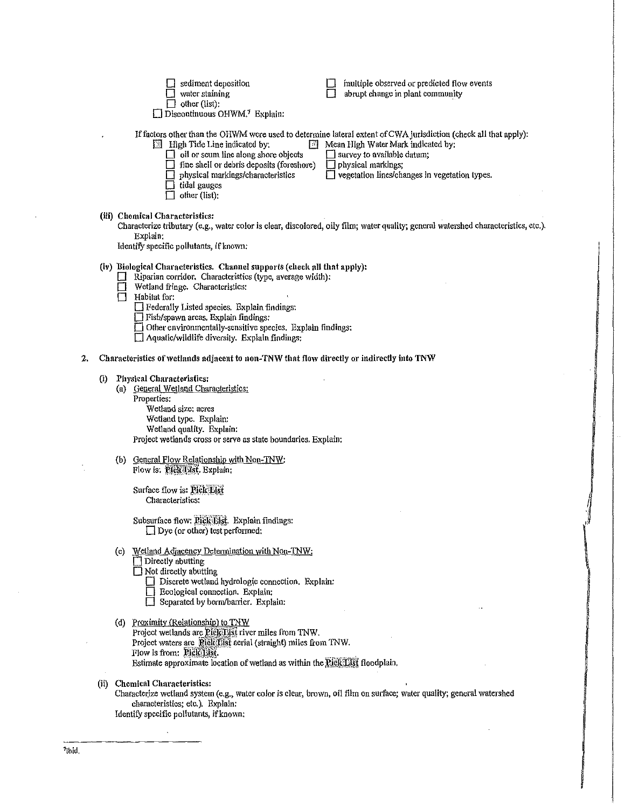|    |                                                                                           | sediment deposition<br>water staining<br>other (list):<br>$\Box$ Discontinuous OHWM. <sup>7</sup> Explain:                                                                                                                                                                                                                                                                                                       | multiple observed or predicted flow events<br>abrupt change in plant community                                                                                                                                                                                                   |  |
|----|-------------------------------------------------------------------------------------------|------------------------------------------------------------------------------------------------------------------------------------------------------------------------------------------------------------------------------------------------------------------------------------------------------------------------------------------------------------------------------------------------------------------|----------------------------------------------------------------------------------------------------------------------------------------------------------------------------------------------------------------------------------------------------------------------------------|--|
|    |                                                                                           | <b>External High Tide Line indicated by:</b><br>14<br>$\Box$ oil or scum line along shore objects<br>fine shell or debris deposits (foreshore)<br>physical markings/characteristics<br>tidal gauges<br>other (list):                                                                                                                                                                                             | If factors other than the OHWM were used to determine lateral extent of CWA jurisdiction (check all that apply):<br>Mean High Water Mark indicated by:<br>$\Box$ survey to available datum;<br>$\Box$ physical markings;<br>$\Box$ vegetation lines/changes in vegetation types. |  |
|    |                                                                                           | (iii) Chemical Characteristics:<br>Explain:<br>Identify specific pollutants, if known:                                                                                                                                                                                                                                                                                                                           | Characterize tributary (e.g., water color is clear, discolored, oily film; water quality; general watershed characteristics, etc.).                                                                                                                                              |  |
|    |                                                                                           | (iv) Biological Characteristics. Channel supports (check all that apply):<br>Riparian corridor. Characteristics (type, average width):<br>Wetland fringe. Characteristics:<br>Habitat for:<br>$\square$ Federally Listed species. Explain findings:<br>Fish/spawn areas. Explain findings:<br>Other environmentally-sensitive species. Explain findings:<br>$\Box$ Aquatic/wildlife diversity. Explain findings: |                                                                                                                                                                                                                                                                                  |  |
| 2, | Characteristics of wetlands adjacent to non-TNW that flow directly or indirectly into TNW |                                                                                                                                                                                                                                                                                                                                                                                                                  |                                                                                                                                                                                                                                                                                  |  |
|    | $\left( i\right)$                                                                         | Physical Characteristics:<br>(a) General Wetland Characteristics:<br>Properties:<br>Wetland size; acres<br>Wetland type. Explain:<br>Wetland quality. Explain:<br>Project wetlands cross or serve as state boundaries. Explain:                                                                                                                                                                                  |                                                                                                                                                                                                                                                                                  |  |
|    |                                                                                           | (b) General Flow Relationship with Non-TNW:<br>Flow is: Pick List. Explain:                                                                                                                                                                                                                                                                                                                                      |                                                                                                                                                                                                                                                                                  |  |
|    |                                                                                           | Surface flow is: Pick List<br>Characteristics:                                                                                                                                                                                                                                                                                                                                                                   |                                                                                                                                                                                                                                                                                  |  |
|    |                                                                                           | Subsurface flow: Pick List. Explain findings:<br>$\Box$ Dye (or other) test performed:                                                                                                                                                                                                                                                                                                                           |                                                                                                                                                                                                                                                                                  |  |
|    |                                                                                           | Wetland Adjacency Determination with Non-TNW.<br>(C)<br>$\Box$ Directly abutting<br>$\Box$ Not directly abutting<br>Discrete wetland hydrologic connection. Explain:<br>Ecological connection. Explain:<br>Separated by berm/barrier. Explain:                                                                                                                                                                   |                                                                                                                                                                                                                                                                                  |  |
|    |                                                                                           | (d) Proximity (Relationship) to TNW<br>Project wetlands are Pick List river miles from TNW.<br>Project waters are Pick List aerial (straight) miles from TNW.<br>Flow is from: Pick List.<br>Estimate approximate location of wetland as within the Pick List floodplain.                                                                                                                                        |                                                                                                                                                                                                                                                                                  |  |
|    |                                                                                           | (ii) Chemical Characteristics:<br>Characterize wetland system (e.g., water color is clear, brown, oil film on surface; water quality; general watershed<br>characteristics; etc.). Explain:<br>Identify specific pollutants, if known:                                                                                                                                                                           |                                                                                                                                                                                                                                                                                  |  |

**have a construction of the construction** سياستان الأمراض<br>المراجعة

 $\frac{1}{\sqrt{2}}$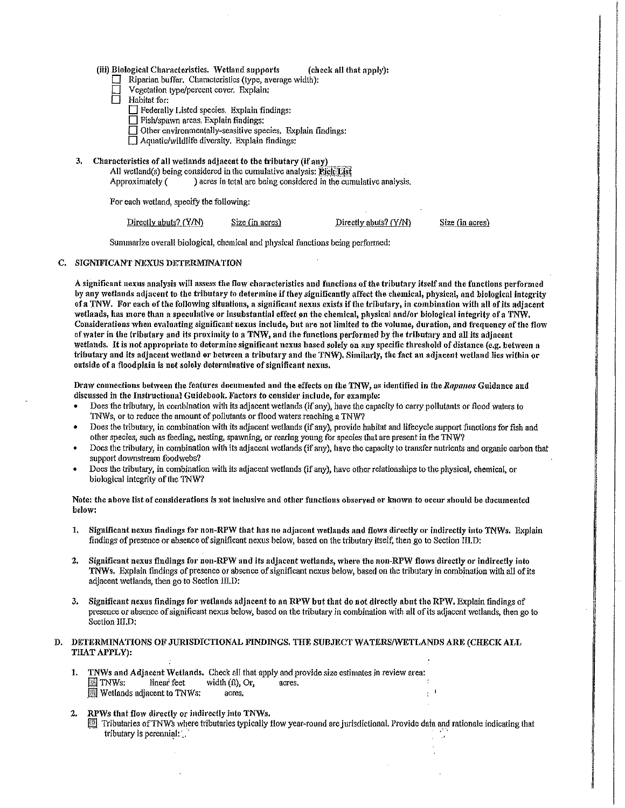| (iii) Biological Characteristics. Wetland supports |  | (check all that apply): |
|----------------------------------------------------|--|-------------------------|
|----------------------------------------------------|--|-------------------------|

- $\Box$  Riparian buffer. Characteristics (type, average width);
	- Vegetation type/percent cover, Explain:
- Habitat for:
	- D Federally Listed species. Explain findings:
	- $\Box$  Fish/spawn areas. Explain findings:
	- $\Box$  Other environmentally-sensitive species, Explain findings:
	- $\Box$  Aquatic/wildlife diversity. Explain findings:
- 3. Characteristics of all wetlands adjacent to the tributary (if any) All wetland(s) being considered in the cumulative analysis:  $\overline{E}$ ick $\overline{E}$ ist Approximately () acres in total are being considered in the cun ) acres in total are being considered in the cumulative analysis.

For each wetland, specify the following:

Directly abuts?  $(Y/N)$  Size (in acres) Directly abuts?  $(Y/N)$ 

Size (in acres)

Summarize overall biological, chemical and physical functions being performed:

### C. SIGNIFICANT NEXUS DETERMINATION

A significant nexus analysis will assess the flow characteristics and functions of the tributary itself and the functions performed by any wetlands adjacent to the tributary to determine if they significantly affect the chemical, physical, and biological integrity of a TNW. For each of the following situations, a significant nexus exists if the tributary, in combination with all of its adjacent wetlands, has more than a speculative or insubstantial effect on the chemical, physical and/or biological integrity of a TNW. Considerations when evaluating significant nexus include, but are not limited to the volume, duration, and frequency of the flow of water in the tributary and its proximity to a TNW, and the functions performed by the tributary and all its adjacent wetlands. It is not appropriate to determine significant nexus based solely on any specific threshold of distance (e.g. bctivcen a tributary and its adjacent wetland or between a tributary and the TNW). Similarly, the fact an adjacent wetland lies within or outside of a floodplain is not solely determinative of significant nexus.

Draw connections between the features documented and the effects on the TNW, as identified in the *Rapanos* Guidance and discussed in the Instructional Guidebook. Factors to consider include, for example:

- Does the tributary, in combination with its adjacent wetlands (if any), have the capacity to carry pollutants or flood waters to TNWs, or to reduce the amount of pollutants or flood waters reaching a TNW?
- Does the tributary, in combination *with* its adjacent wetlands (if any), provide habitat and lifecyclc support functions for fish and other species, such as feeding, nesting, spawning, or rearing young for species that arc present in the 1NW?
- Does the tributary, in combination with its adjacent wetlands (if any), have the capacity to transfer nutrients and organic carbon that support downstream foodwebs?
- Does the tributary, in combination with its adjacent wetlands (if any), have other relationships to the physical, chemical, or biological integrity of the TNW?

## Note: the aboye list of considerations is not inclusive and other functions observed or known to occur should be documented beJo,v:

- 1, Significant nexus findings for non-RPW that has no adjacent wetlands and flo,vs directly or indirectly into *TNWs.* Explain findings of presence or absence of significant nexus below, based on the tributary itself, then go to Section III.D:
- 2. Significant nexus findings for non-RPW and its adjacent wetlands, where the non-RPW flows directly or indirectly into TNWs. Explain findings of presence or absence of significant nexus below, based on the tributary in combination with all of its adjacent wetlands, then go to Section III.D:
- 3. Significant nexus findings for wetlands adjacent to an RPW but that do not directly abut the RPW. Explain findings of presence or absence of significant nexus below, based on the tributary in combination with all of its adjacent wetlands, then go to Section III.D:

## D. DETERMINATIONS OF JURISDICTIONAL FINDINGS. TIIE SUBJECT WATERS/WETLANDS ARE (CHECK ALL THAT APPLY):

- 1. TNWs and Adjacent Wetlands. Check all that apply and provide size estimates in review area:  $\boxed{\text{m}}$  TNWs: linear feet width (ft), Or, acres, **in** Wetlands adjacent to TNWs: acres.
- 2. RPWs that flow directly or indirectly into TNWs.
	- $\Box$  Tributaries of TNWs where tributaries typically flow year-round are jurisdictional. Provide data and rationale indicating that tributary is perennial:  $\therefore$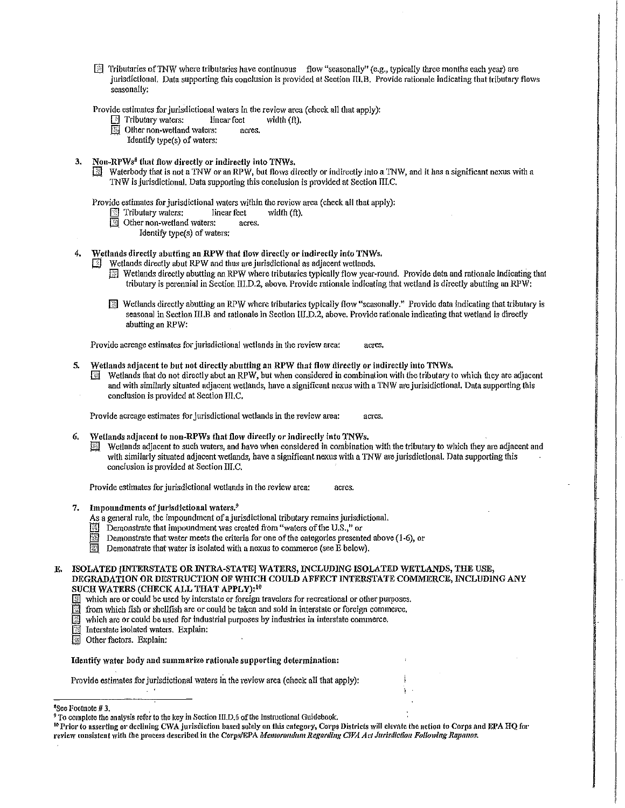$\Box$  Tributaries of TNW where tributaries have continuous flow "seasonally" (e.g., typically three months each year) are jurisdictional. Data supporting this conclusion is provided at Section III.B. Provide rationale indicating that tributary flows seasonally:

Provide estimates for jurisdictional waters in the review area (check all that apply):<br>  $\boxed{\triangle}$  Tributary waters: linear feet width (ft).

**E** Tributary waters: linear feet with  $\Box$  Other non-wetland waters: acres.

Other non-wetland watcrs:

Identify type(s) of waters:

- Non-RPWs<sup>8</sup> that flow directly or indirectly into TNWs.
	- $\boxed{3}$  Waterbody that is not a TNW or an RPW, but flows directly or indirectly into a TNW, and it has a significant nexus with a TNW is jurisdictional. Data supporting this conclusion is provided at Section III.C.

Provide estimates for jurisdictional waters within the review area (check all that apply):

- $\Box$  Tributary waters: linear feet width (ft).
- $\boxed{N}$  Other non-wetland waters: acres.
	- Identify type(s) of waters:
- 4. Wetlands directly abutting an RPW that flow directly or indirectly into TNWs.
	- $\boxed{\color{blue}{\mathbb{Z}}}\space$  Wetlands directly abut RPW and thus are jurisdictional as adjacent wetlands.
		- Jill Wetlands directly abutting an RPW whel'e tributaries typically flow year-round. Provide data and rationale lndicatingthat tributary is perennial in Section III.D.2, above. Provide rationale indicating that wetland is directly abutting an RPW:
		- [ill Wetlands directly abutting an RPW where tributaries typically flow "seasonal1y.)' Provide data indicating that tributary is seasonal in Section III.B and rationale in Section III.D.2, above. Provide rationale indicating that wetland is directly abutting an RPW:

Provide acreage estimates for jurisdictional wetlands in the review area: acres.

- 5. Wetlands adjacent to but not directly abutting an RPW that flolv dfrectly or indirectly into TNWs.
	- $\mathbb{R}$  Wetlands that do not directly abut an RPW, but when considered in combination with the tributary to which they are adjacent and with similarly situated adjacent wetlands, have a significant nexus with a TNW are jurisidictional. Data supporting this conclusion is provided at Section TII.C.

Provide acreage estimates for jurisdictional wetlands in the review area: acres.

- 6. Wetlands adjacent to non-RPWs that flow directly or indirectly into TNWs.
	- $[3]$  Wetlands adjacent to such waters, and have when considered in combination with the tributary to which they are adjacent and with similarly situated adjacent wetlands, have a significant nexus with a TNW are jurisdictional. Data supporting this conclusion is provided at Section UI.C.

Provide estimates for jurisdictional wetlands in the review area: acres.

- 7. Impoundments of jurisdictional waters.<sup>9</sup>
	- As a general rule, the impoundment of a jurisdictional tributary remains jurisdictional.
	- Demonstrate that impoundment was created from "waters of the U.S.," or
	- Demonstrate that water meets the criteria for one of the categories presented above (1-6), or
	- **Fill** Demonstrate that water is isolated with a nexus to commerce (see E below).
- ISOLATED INTERSTATE OR INTRA-STATE] WATERS, INCLUDING ISOLATED WETLANDS, THE USE, DEGRADATION OR DESTRUCTION OF WHICH COULD AFFECT INTERSTATE COMMERCE, INCLUDING ANY SUCH WATERS (CHECK ALL THAT APPLY):<sup>10</sup>
	- $\Box$  which are or could be used by interstate or foreign travelers for recreational or other purposes.
	- $\Box$  from which fish or shellfish are or could be taken and sold in interstate or foreign commerce.<br> $\Box$  which are or could be used for industrial purposes by industries in interstate commerce.
	- which are or could be used for industrial purposes by industries in interstate commerce.
	- II. Interstate isolated waters. Explain:<br>III. Other factors. Explain:
	- Other factors. Explain:

Identify water body and summarize rationale supporting determination:

Provide estimates for jurisdictional waters in the review area (check all that apply):

<sup>10</sup> Prior to asserting or declining CWA jurisdiction based solely on this category, Corps Districts will elevate the action to Corps and EPA HQ for review consistent with the process described in the Corps/EPA *Memorandum Regarding CWA Act Jurisdiction Following Rapanos.* 

<sup>&</sup>lt;sup>8</sup>See Footnote # 3.

<sup>&</sup>lt;sup>9</sup>To complete the analysis refer to the key in Section III.D.6 of the Instructional Guidebook.